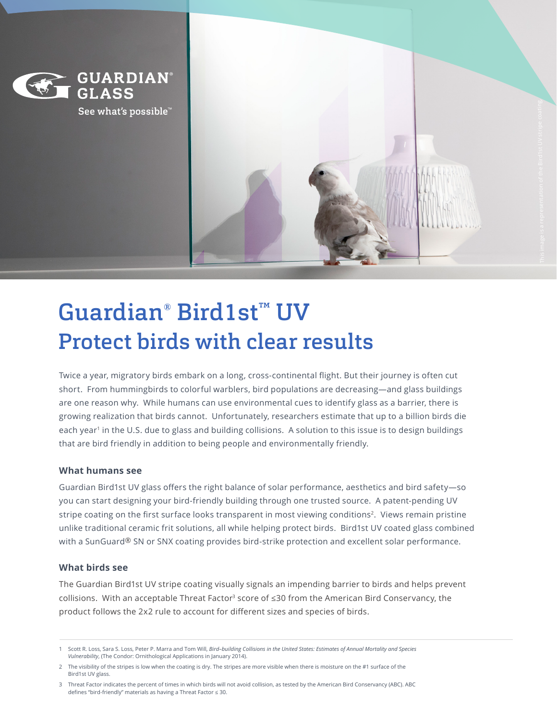

See what's possible<sup>™</sup>



# Guardian® Bird1st™ UV Protect birds with clear results

Twice a year, migratory birds embark on a long, cross-continental flight. But their journey is often cut short. From hummingbirds to colorful warblers, bird populations are decreasing—and glass buildings are one reason why. While humans can use environmental cues to identify glass as a barrier, there is growing realization that birds cannot. Unfortunately, researchers estimate that up to a billion birds die each year<sup>1</sup> in the U.S. due to glass and building collisions. A solution to this issue is to design buildings that are bird friendly in addition to being people and environmentally friendly.

### **What humans see**

Guardian Bird1st UV glass offers the right balance of solar performance, aesthetics and bird safety—so you can start designing your bird-friendly building through one trusted source. A patent-pending UV stripe coating on the first surface looks transparent in most viewing conditions<sup>2</sup>. Views remain pristine unlike traditional ceramic frit solutions, all while helping protect birds. Bird1st UV coated glass combined with a SunGuard® SN or SNX coating provides bird-strike protection and excellent solar performance.

### **What birds see**

The Guardian Bird1st UV stripe coating visually signals an impending barrier to birds and helps prevent collisions. With an acceptable Threat Factor<sup>3</sup> score of  $\leq 30$  from the American Bird Conservancy, the product follows the 2x2 rule to account for different sizes and species of birds.

<sup>1</sup> Scott R. Loss, Sara S. Loss, Peter P. Marra and Tom Will, *Bird–building Collisions in the United States: Estimates of Annual Mortality and Species Vulnerability*, (The Condor: Ornithological Applications in January 2014).

<sup>2</sup> The visibility of the stripes is low when the coating is dry. The stripes are more visible when there is moisture on the #1 surface of the Bird1st UV glass.

<sup>3</sup> Threat Factor indicates the percent of times in which birds will not avoid collision, as tested by the American Bird Conservancy (ABC). ABC defines "bird-friendly" materials as having a Threat Factor ≤ 30.